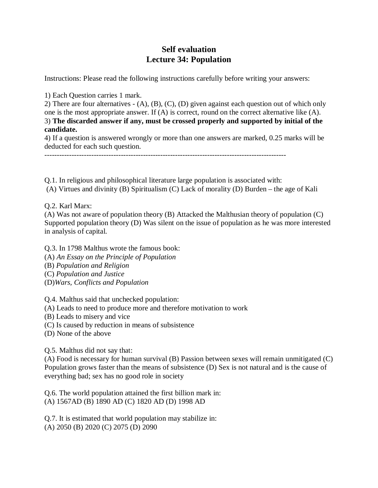## **Self evaluation Lecture 34: Population**

Instructions: Please read the following instructions carefully before writing your answers:

1) Each Question carries 1 mark.

2) There are four alternatives - (A), (B), (C), (D) given against each question out of which only one is the most appropriate answer. If (A) is correct, round on the correct alternative like (A). 3) **The discarded answer if any, must be crossed properly and supported by initial of the candidate.**

4) If a question is answered wrongly or more than one answers are marked, 0.25 marks will be deducted for each such question.

--------------------------------------------------------------------------------------------------

Q.1. In religious and philosophical literature large population is associated with: (A) Virtues and divinity (B) Spiritualism (C) Lack of morality (D) Burden – the age of Kali

Q.2. Karl Marx:

(A) Was not aware of population theory (B) Attacked the Malthusian theory of population (C) Supported population theory (D) Was silent on the issue of population as he was more interested in analysis of capital.

Q.3. In 1798 Malthus wrote the famous book:

(A) *An Essay on the Principle of Population*

(B) *Population and Religion*

(C) *Population and Justice*

(D)*Wars, Conflicts and Population*

Q.4. Malthus said that unchecked population:

(A) Leads to need to produce more and therefore motivation to work

(B) Leads to misery and vice

(C) Is caused by reduction in means of subsistence

(D) None of the above

Q.5. Malthus did not say that:

(A) Food is necessary for human survival (B) Passion between sexes will remain unmitigated (C) Population grows faster than the means of subsistence (D) Sex is not natural and is the cause of everything bad; sex has no good role in society

Q.6. The world population attained the first billion mark in: (A) 1567AD (B) 1890 AD (C) 1820 AD (D) 1998 AD

Q.7. It is estimated that world population may stabilize in: (A) 2050 (B) 2020 (C) 2075 (D) 2090